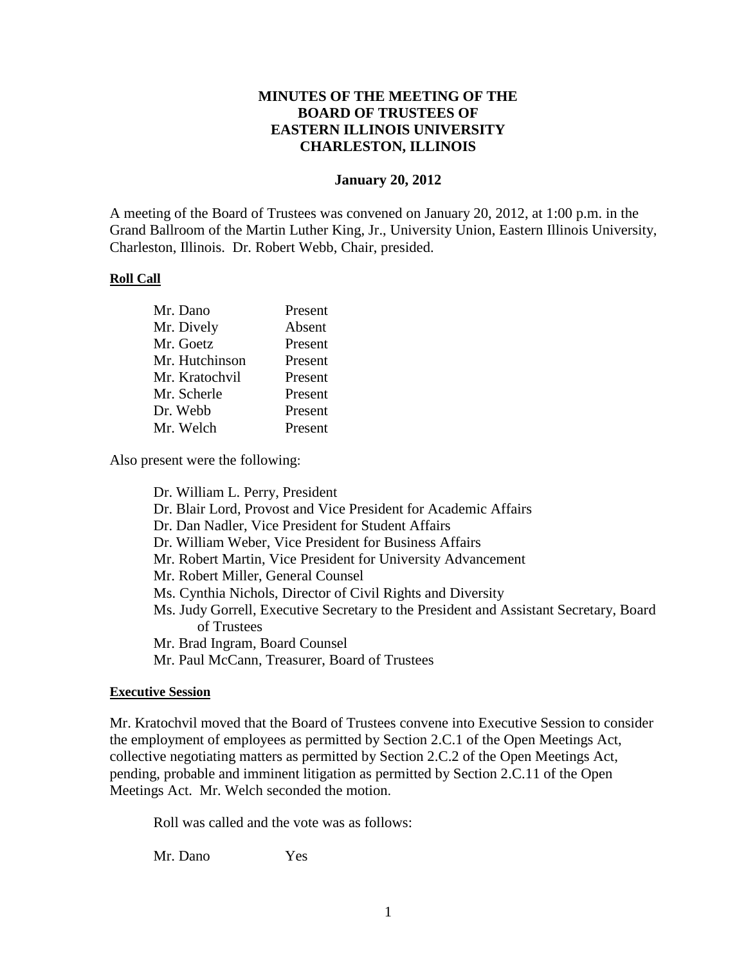# **MINUTES OF THE MEETING OF THE BOARD OF TRUSTEES OF EASTERN ILLINOIS UNIVERSITY CHARLESTON, ILLINOIS**

### **January 20, 2012**

A meeting of the Board of Trustees was convened on January 20, 2012, at 1:00 p.m. in the Grand Ballroom of the Martin Luther King, Jr., University Union, Eastern Illinois University, Charleston, Illinois. Dr. Robert Webb, Chair, presided.

#### **Roll Call**

| Mr. Dano       | Present |
|----------------|---------|
| Mr. Dively     | Absent  |
| Mr. Goetz      | Present |
| Mr. Hutchinson | Present |
| Mr. Kratochvil | Present |
| Mr. Scherle    | Present |
| Dr. Webb       | Present |
| Mr. Welch      | Present |

Also present were the following:

Dr. William L. Perry, President Dr. Blair Lord, Provost and Vice President for Academic Affairs Dr. Dan Nadler, Vice President for Student Affairs Dr. William Weber, Vice President for Business Affairs Mr. Robert Martin, Vice President for University Advancement Mr. Robert Miller, General Counsel Ms. Cynthia Nichols, Director of Civil Rights and Diversity Ms. Judy Gorrell, Executive Secretary to the President and Assistant Secretary, Board of Trustees Mr. Brad Ingram, Board Counsel Mr. Paul McCann, Treasurer, Board of Trustees

#### **Executive Session**

Mr. Kratochvil moved that the Board of Trustees convene into Executive Session to consider the employment of employees as permitted by Section 2.C.1 of the Open Meetings Act, collective negotiating matters as permitted by Section 2.C.2 of the Open Meetings Act, pending, probable and imminent litigation as permitted by Section 2.C.11 of the Open Meetings Act. Mr. Welch seconded the motion.

Roll was called and the vote was as follows:

Mr. Dano Yes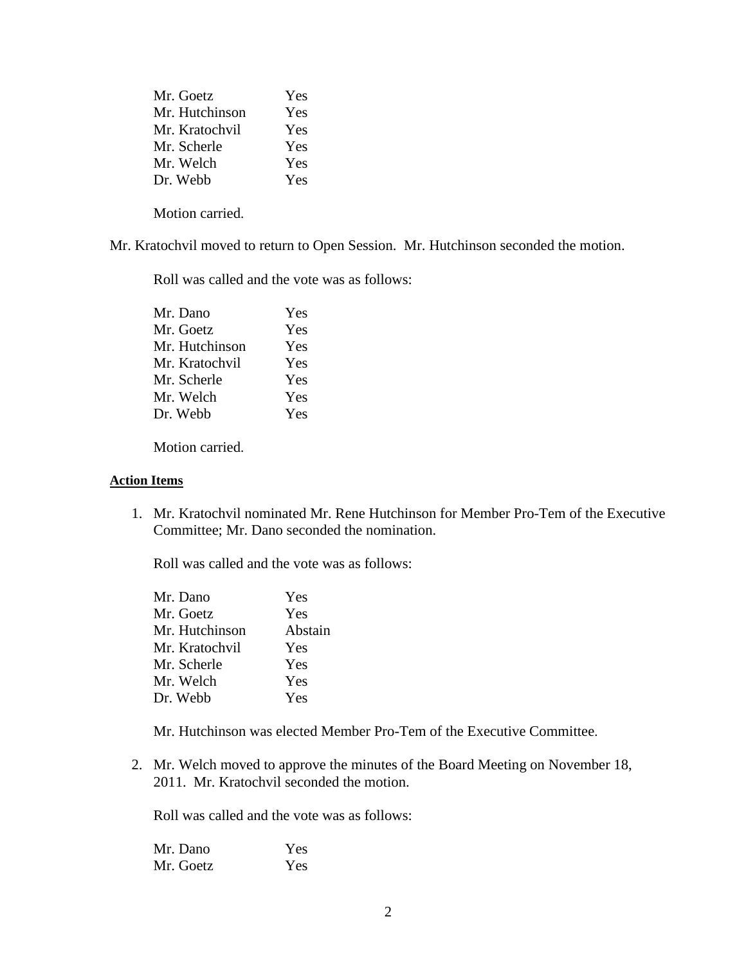| Mr. Goetz      | <b>Yes</b> |
|----------------|------------|
| Mr. Hutchinson | <b>Yes</b> |
| Mr. Kratochvil | <b>Yes</b> |
| Mr. Scherle    | <b>Yes</b> |
| Mr. Welch      | <b>Yes</b> |
| Dr. Webb       | <b>Yes</b> |
|                |            |

Motion carried.

Mr. Kratochvil moved to return to Open Session. Mr. Hutchinson seconded the motion.

Roll was called and the vote was as follows:

| Mr. Dano       | Yes        |
|----------------|------------|
| Mr. Goetz      | <b>Yes</b> |
| Mr. Hutchinson | Yes        |
| Mr. Kratochvil | <b>Yes</b> |
| Mr. Scherle    | Yes        |
| Mr. Welch      | Yes        |
| Dr. Webb       | Yes        |

Motion carried.

#### **Action Items**

1. Mr. Kratochvil nominated Mr. Rene Hutchinson for Member Pro-Tem of the Executive Committee; Mr. Dano seconded the nomination.

Roll was called and the vote was as follows:

| Mr. Dano       | Yes     |
|----------------|---------|
| Mr. Goetz      | Yes     |
| Mr. Hutchinson | Abstain |
| Mr. Kratochvil | Yes     |
| Mr. Scherle    | Yes     |
| Mr. Welch      | Yes     |
| Dr. Webb       | Yes     |
|                |         |

Mr. Hutchinson was elected Member Pro-Tem of the Executive Committee.

2. Mr. Welch moved to approve the minutes of the Board Meeting on November 18, 2011. Mr. Kratochvil seconded the motion.

Roll was called and the vote was as follows:

| Mr. Dano  | Yes |
|-----------|-----|
| Mr. Goetz | Yes |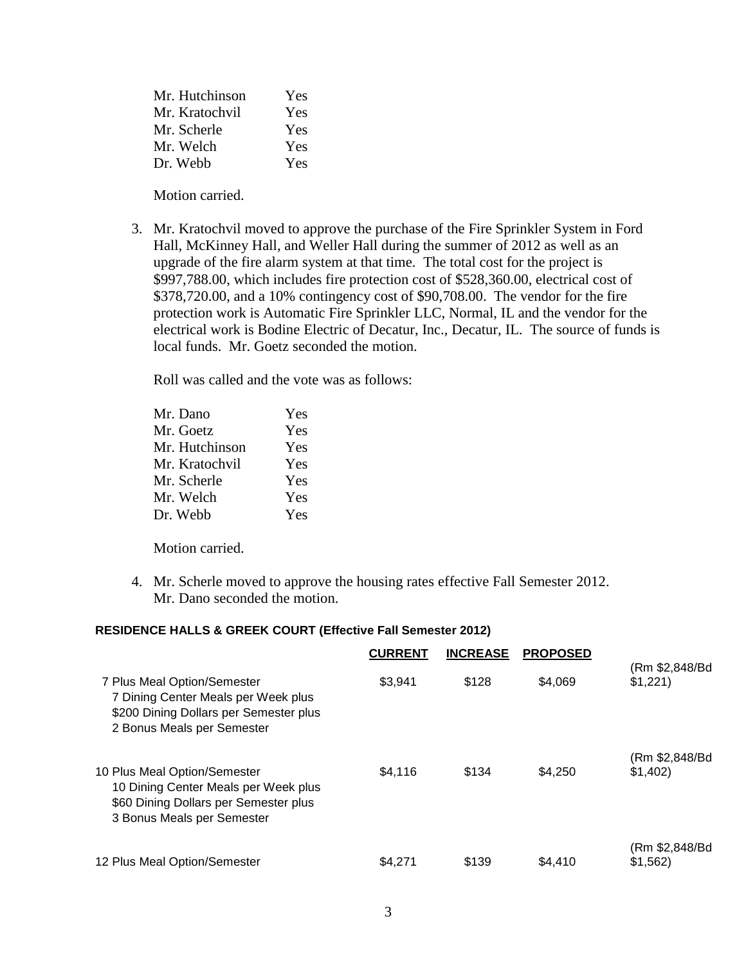| Mr. Hutchinson | Yes |
|----------------|-----|
| Mr. Kratochvil | Yes |
| Mr. Scherle    | Yes |
| Mr. Welch      | Yes |
| Dr. Webb       | Yes |

Motion carried.

3. Mr. Kratochvil moved to approve the purchase of the Fire Sprinkler System in Ford Hall, McKinney Hall, and Weller Hall during the summer of 2012 as well as an upgrade of the fire alarm system at that time. The total cost for the project is \$997,788.00, which includes fire protection cost of \$528,360.00, electrical cost of \$378,720.00, and a 10% contingency cost of \$90,708.00. The vendor for the fire protection work is Automatic Fire Sprinkler LLC, Normal, IL and the vendor for the electrical work is Bodine Electric of Decatur, Inc., Decatur, IL. The source of funds is local funds. Mr. Goetz seconded the motion.

Roll was called and the vote was as follows:

| Mr. Dano       | <b>Yes</b> |
|----------------|------------|
| Mr. Goetz      | Yes        |
| Mr. Hutchinson | Yes        |
| Mr. Kratochvil | Yes        |
| Mr. Scherle    | Yes        |
| Mr. Welch      | Yes        |
| Dr. Webb       | Yes        |
|                |            |

Motion carried.

4. Mr. Scherle moved to approve the housing rates effective Fall Semester 2012. Mr. Dano seconded the motion.

### **RESIDENCE HALLS & GREEK COURT (Effective Fall Semester 2012)**

|                                                                                                                                             | <b>CURRENT</b> | <b>INCREASE</b> | <b>PROPOSED</b> |                           |
|---------------------------------------------------------------------------------------------------------------------------------------------|----------------|-----------------|-----------------|---------------------------|
| 7 Plus Meal Option/Semester<br>7 Dining Center Meals per Week plus<br>\$200 Dining Dollars per Semester plus<br>2 Bonus Meals per Semester  | \$3.941        | \$128           | \$4.069         | (Rm \$2,848/Bd<br>\$1,221 |
| 10 Plus Meal Option/Semester<br>10 Dining Center Meals per Week plus<br>\$60 Dining Dollars per Semester plus<br>3 Bonus Meals per Semester | \$4.116        | \$134           | \$4.250         | (Rm \$2,848/Bd<br>\$1,402 |
| 12 Plus Meal Option/Semester                                                                                                                | \$4.271        | \$139           | \$4,410         | (Rm \$2,848/Bd<br>\$1,562 |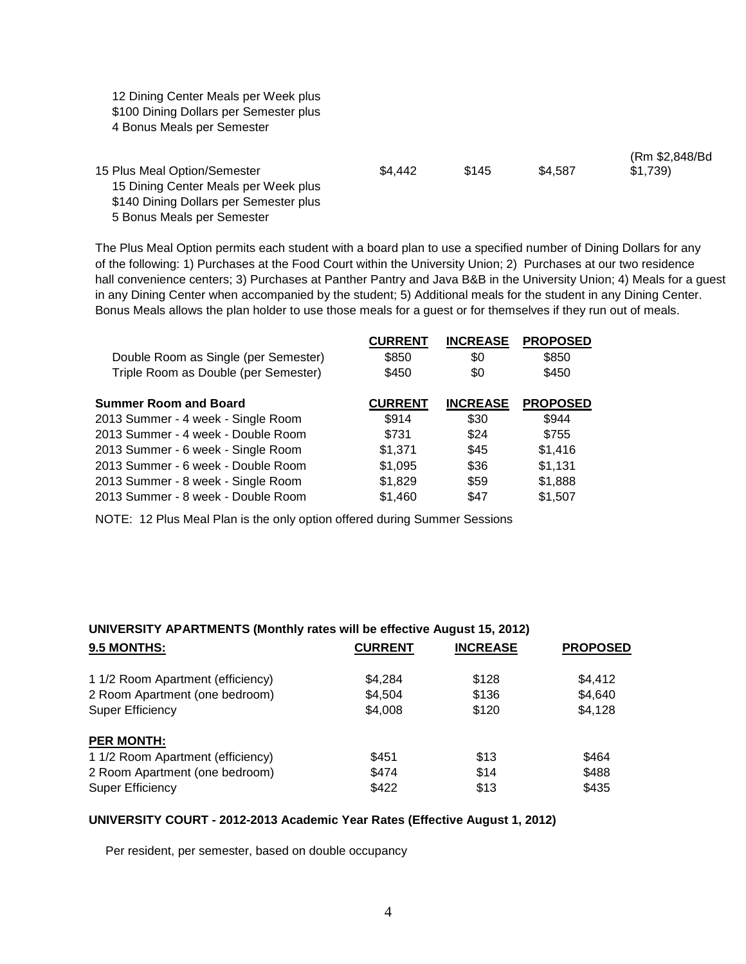12 Dining Center Meals per Week plus \$100 Dining Dollars per Semester plus 4 Bonus Meals per Semester

| 15 Plus Meal Option/Semester           | \$4.442 | \$145 | \$4.587 | (Rm \$2,848/Bd)<br>\$1.739 |
|----------------------------------------|---------|-------|---------|----------------------------|
| 15 Dining Center Meals per Week plus   |         |       |         |                            |
| \$140 Dining Dollars per Semester plus |         |       |         |                            |
| 5 Bonus Meals per Semester             |         |       |         |                            |

The Plus Meal Option permits each student with a board plan to use a specified number of Dining Dollars for any of the following: 1) Purchases at the Food Court within the University Union; 2) Purchases at our two residence hall convenience centers; 3) Purchases at Panther Pantry and Java B&B in the University Union; 4) Meals for a guest in any Dining Center when accompanied by the student; 5) Additional meals for the student in any Dining Center. Bonus Meals allows the plan holder to use those meals for a guest or for themselves if they run out of meals.

| <b>CURRENT</b> | <b>INCREASE</b> | <b>PROPOSED</b> |
|----------------|-----------------|-----------------|
| \$850          | \$0             | \$850           |
| \$450          | \$0             | \$450           |
| <b>CURRENT</b> | <b>INCREASE</b> | <b>PROPOSED</b> |
| \$914          | \$30            | \$944           |
| \$731          | \$24            | \$755           |
| \$1,371        | \$45            | \$1,416         |
| \$1,095        | \$36            | \$1,131         |
| \$1,829        | \$59            | \$1,888         |
| \$1,460        | \$47            | \$1,507         |
|                |                 |                 |

NOTE: 12 Plus Meal Plan is the only option offered during Summer Sessions

# **UNIVERSITY APARTMENTS (Monthly rates will be effective August 15, 2012)**

| 9.5 MONTHS:                       | <b>CURRENT</b> | <b>INCREASE</b> | <b>PROPOSED</b> |
|-----------------------------------|----------------|-----------------|-----------------|
| 1 1/2 Room Apartment (efficiency) | \$4.284        | \$128           | \$4.412         |
| 2 Room Apartment (one bedroom)    | \$4,504        | \$136           | \$4,640         |
| <b>Super Efficiency</b>           | \$4,008        | \$120           | \$4,128         |
| <b>PER MONTH:</b>                 |                |                 |                 |
| 1 1/2 Room Apartment (efficiency) | \$451          | \$13            | \$464           |
| 2 Room Apartment (one bedroom)    | \$474          | \$14            | \$488           |
| <b>Super Efficiency</b>           | \$422          | \$13            | \$435           |
|                                   |                |                 |                 |

#### **UNIVERSITY COURT - 2012-2013 Academic Year Rates (Effective August 1, 2012)**

Per resident, per semester, based on double occupancy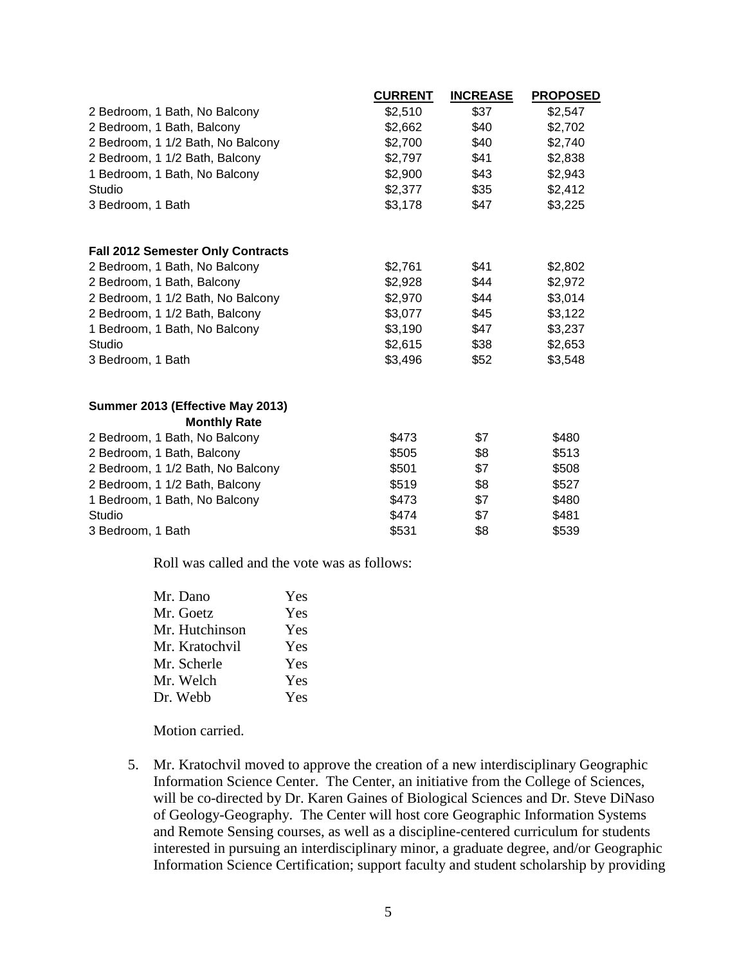|                                          | <b>CURRENT</b> | <b>INCREASE</b> | <b>PROPOSED</b> |
|------------------------------------------|----------------|-----------------|-----------------|
| 2 Bedroom, 1 Bath, No Balcony            | \$2,510        | \$37            | \$2,547         |
| 2 Bedroom, 1 Bath, Balcony               | \$2,662        | \$40            | \$2,702         |
| 2 Bedroom, 1 1/2 Bath, No Balcony        | \$2,700        | \$40            | \$2,740         |
| 2 Bedroom, 1 1/2 Bath, Balcony           | \$2,797        | \$41            | \$2,838         |
| 1 Bedroom, 1 Bath, No Balcony            | \$2,900        | \$43            | \$2,943         |
| Studio                                   | \$2,377        | \$35            | \$2,412         |
| 3 Bedroom, 1 Bath                        | \$3,178        | \$47            | \$3,225         |
| <b>Fall 2012 Semester Only Contracts</b> |                |                 |                 |
| 2 Bedroom, 1 Bath, No Balcony            | \$2,761        | \$41            | \$2,802         |
| 2 Bedroom, 1 Bath, Balcony               | \$2,928        | \$44            | \$2,972         |
| 2 Bedroom, 1 1/2 Bath, No Balcony        | \$2,970        | \$44            | \$3,014         |
| 2 Bedroom, 1 1/2 Bath, Balcony           | \$3,077        | \$45            | \$3,122         |
| 1 Bedroom, 1 Bath, No Balcony            | \$3,190        | \$47            | \$3,237         |
| Studio                                   | \$2,615        | \$38            | \$2,653         |
| 3 Bedroom, 1 Bath                        | \$3,496        | \$52            | \$3,548         |
| Summer 2013 (Effective May 2013)         |                |                 |                 |
| <b>Monthly Rate</b>                      |                |                 |                 |
| 2 Bedroom, 1 Bath, No Balcony            | \$473          | \$7             | \$480           |
| 2 Bedroom, 1 Bath, Balcony               | \$505          | \$8             | \$513           |
| 2 Bedroom, 1 1/2 Bath, No Balcony        | \$501          | \$7             | \$508           |
| 2 Bedroom, 1 1/2 Bath, Balcony           | \$519          | \$8             | \$527           |
| 1 Bedroom, 1 Bath, No Balcony            | \$473          | \$7             | \$480           |
| Studio                                   | \$474          | \$7             | \$481           |
| 3 Bedroom, 1 Bath                        | \$531          | \$8             | \$539           |

Roll was called and the vote was as follows:

| Mr. Dano       | Yes |
|----------------|-----|
| Mr. Goetz      | Yes |
| Mr. Hutchinson | Yes |
| Mr. Kratochvil | Yes |
| Mr. Scherle    | Yes |
| Mr. Welch      | Yes |
| Dr. Webb       | Yes |
|                |     |

Motion carried.

 5. Mr. Kratochvil moved to approve the creation of a new interdisciplinary Geographic Information Science Center. The Center, an initiative from the College of Sciences, will be co-directed by Dr. Karen Gaines of Biological Sciences and Dr. Steve DiNaso of Geology-Geography. The Center will host core Geographic Information Systems and Remote Sensing courses, as well as a discipline-centered curriculum for students interested in pursuing an interdisciplinary minor, a graduate degree, and/or Geographic Information Science Certification; support faculty and student scholarship by providing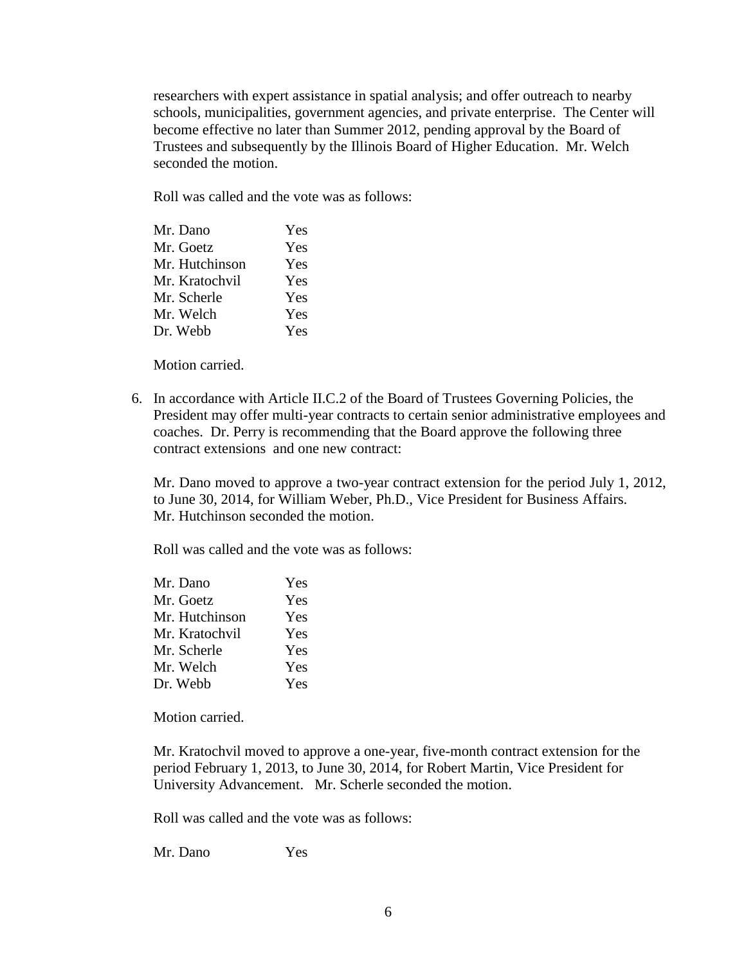researchers with expert assistance in spatial analysis; and offer outreach to nearby schools, municipalities, government agencies, and private enterprise. The Center will become effective no later than Summer 2012, pending approval by the Board of Trustees and subsequently by the Illinois Board of Higher Education. Mr. Welch seconded the motion.

Roll was called and the vote was as follows:

| Mr. Dano       | Yes |
|----------------|-----|
| Mr. Goetz      | Yes |
| Mr. Hutchinson | Yes |
| Mr. Kratochvil | Yes |
| Mr. Scherle    | Yes |
| Mr. Welch      | Yes |
| Dr. Webb       | Yes |

Motion carried.

6. In accordance with Article II.C.2 of the Board of Trustees Governing Policies, the President may offer multi-year contracts to certain senior administrative employees and coaches. Dr. Perry is recommending that the Board approve the following three contract extensions and one new contract:

Mr. Dano moved to approve a two-year contract extension for the period July 1, 2012, to June 30, 2014, for William Weber, Ph.D., Vice President for Business Affairs. Mr. Hutchinson seconded the motion.

Roll was called and the vote was as follows:

| Yes |
|-----|
| Yes |
| Yes |
| Yes |
| Yes |
| Yes |
| Yes |
|     |

Motion carried.

Mr. Kratochvil moved to approve a one-year, five-month contract extension for the period February 1, 2013, to June 30, 2014, for Robert Martin, Vice President for University Advancement. Mr. Scherle seconded the motion.

Roll was called and the vote was as follows:

Mr. Dano Yes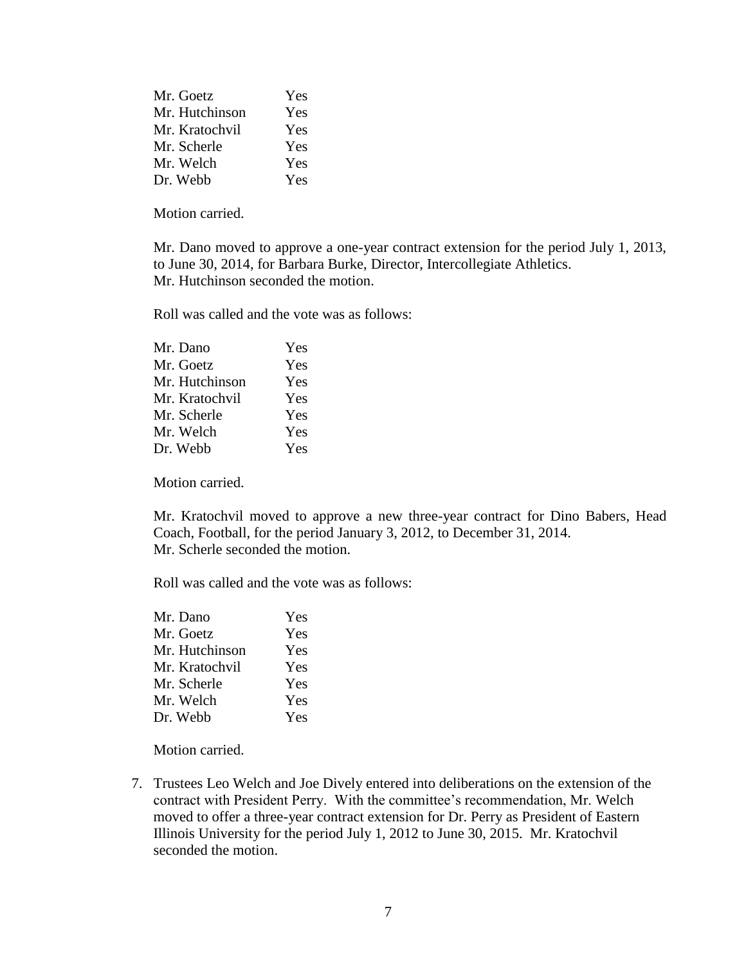| Mr. Goetz      | Yes |
|----------------|-----|
| Mr. Hutchinson | Yes |
| Mr. Kratochvil | Yes |
| Mr. Scherle    | Yes |
| Mr. Welch      | Yes |
| Dr. Webb       | Yes |

Motion carried.

Mr. Dano moved to approve a one-year contract extension for the period July 1, 2013, to June 30, 2014, for Barbara Burke, Director, Intercollegiate Athletics. Mr. Hutchinson seconded the motion.

Roll was called and the vote was as follows:

| Yes |
|-----|
| Yes |
| Yes |
| Yes |
| Yes |
| Yes |
| Yes |
|     |

Motion carried.

Mr. Kratochvil moved to approve a new three-year contract for Dino Babers, Head Coach, Football, for the period January 3, 2012, to December 31, 2014. Mr. Scherle seconded the motion.

Roll was called and the vote was as follows:

| Mr. Dano       | <b>Yes</b> |
|----------------|------------|
| Mr. Goetz      | Yes        |
| Mr. Hutchinson | Yes        |
| Mr. Kratochvil | Yes        |
| Mr. Scherle    | Yes        |
| Mr. Welch      | Yes        |
| Dr. Webb       | Yes        |

Motion carried.

7. Trustees Leo Welch and Joe Dively entered into deliberations on the extension of the contract with President Perry. With the committee's recommendation, Mr. Welch moved to offer a three-year contract extension for Dr. Perry as President of Eastern Illinois University for the period July 1, 2012 to June 30, 2015. Mr. Kratochvil seconded the motion.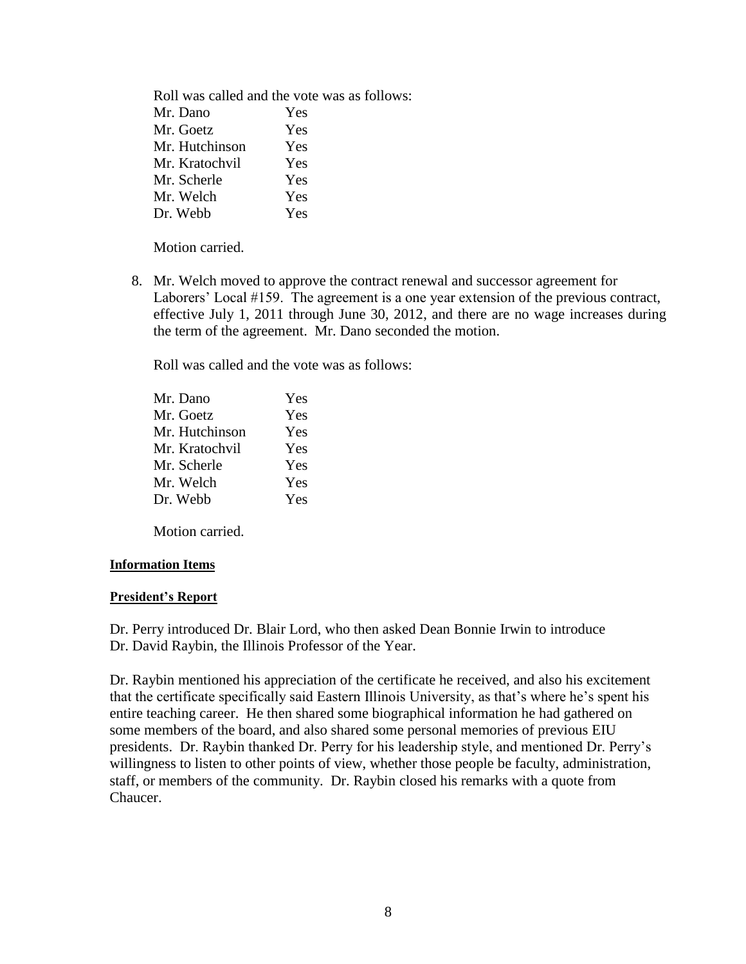Roll was called and the vote was as follows: Mr. Dano Yes Mr. Goetz Yes Mr. Hutchinson Yes Mr. Kratochvil Yes Mr. Scherle Yes Mr. Welch Yes Dr. Webb Yes

Motion carried.

8. Mr. Welch moved to approve the contract renewal and successor agreement for Laborers' Local #159. The agreement is a one year extension of the previous contract, effective July 1, 2011 through June 30, 2012, and there are no wage increases during the term of the agreement. Mr. Dano seconded the motion.

Roll was called and the vote was as follows:

| Mr. Dano       | <b>Yes</b> |
|----------------|------------|
| Mr. Goetz      | Yes        |
| Mr. Hutchinson | Yes        |
| Mr. Kratochvil | Yes        |
| Mr. Scherle    | Yes        |
| Mr. Welch      | Yes        |
| Dr. Webb       | Yes        |

Motion carried.

### **Information Items**

### **President's Report**

Dr. Perry introduced Dr. Blair Lord, who then asked Dean Bonnie Irwin to introduce Dr. David Raybin, the Illinois Professor of the Year.

Dr. Raybin mentioned his appreciation of the certificate he received, and also his excitement that the certificate specifically said Eastern Illinois University, as that's where he's spent his entire teaching career. He then shared some biographical information he had gathered on some members of the board, and also shared some personal memories of previous EIU presidents. Dr. Raybin thanked Dr. Perry for his leadership style, and mentioned Dr. Perry's willingness to listen to other points of view, whether those people be faculty, administration, staff, or members of the community. Dr. Raybin closed his remarks with a quote from Chaucer.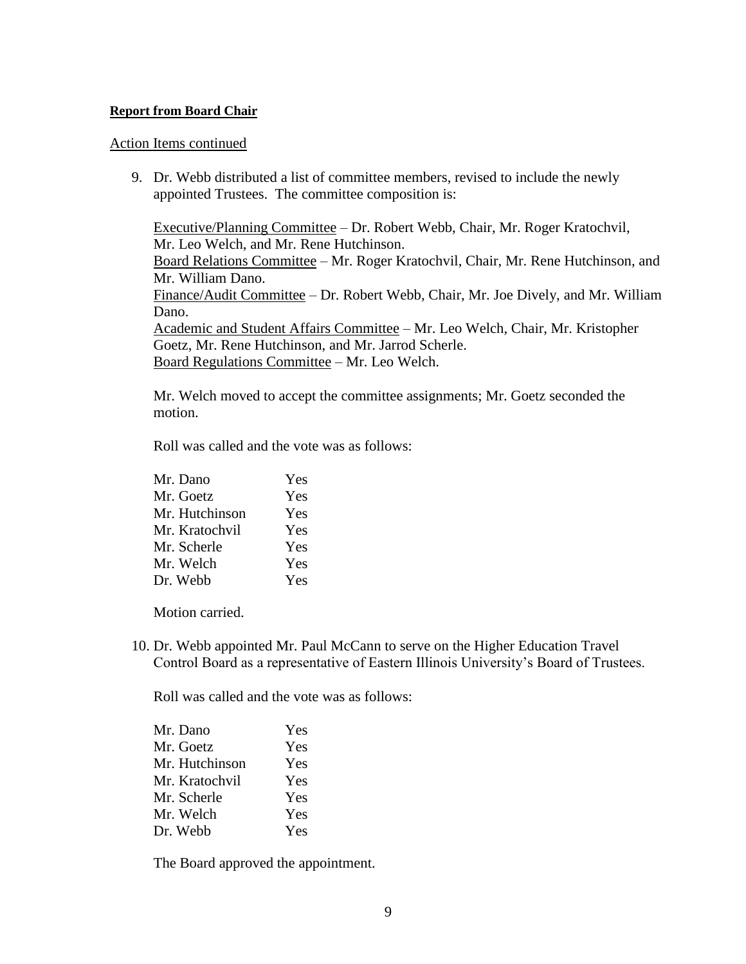## **Report from Board Chair**

### Action Items continued

9. Dr. Webb distributed a list of committee members, revised to include the newly appointed Trustees. The committee composition is:

Executive/Planning Committee – Dr. Robert Webb, Chair, Mr. Roger Kratochvil, Mr. Leo Welch, and Mr. Rene Hutchinson. Board Relations Committee – Mr. Roger Kratochvil, Chair, Mr. Rene Hutchinson, and Mr. William Dano. Finance/Audit Committee – Dr. Robert Webb, Chair, Mr. Joe Dively, and Mr. William Dano. Academic and Student Affairs Committee – Mr. Leo Welch, Chair, Mr. Kristopher Goetz, Mr. Rene Hutchinson, and Mr. Jarrod Scherle. Board Regulations Committee – Mr. Leo Welch.

Mr. Welch moved to accept the committee assignments; Mr. Goetz seconded the motion.

Roll was called and the vote was as follows:

| Mr. Dano       | Yes |
|----------------|-----|
| Mr. Goetz      | Yes |
| Mr. Hutchinson | Yes |
| Mr. Kratochvil | Yes |
| Mr. Scherle    | Yes |
| Mr. Welch      | Yes |
| Dr. Webb       | Yes |

Motion carried.

10. Dr. Webb appointed Mr. Paul McCann to serve on the Higher Education Travel Control Board as a representative of Eastern Illinois University's Board of Trustees.

Roll was called and the vote was as follows:

| Mr. Dano       | Yes |
|----------------|-----|
| Mr. Goetz      | Yes |
| Mr. Hutchinson | Yes |
| Mr. Kratochvil | Yes |
| Mr. Scherle    | Yes |
| Mr. Welch      | Yes |
| Dr. Webb       | Yes |

The Board approved the appointment.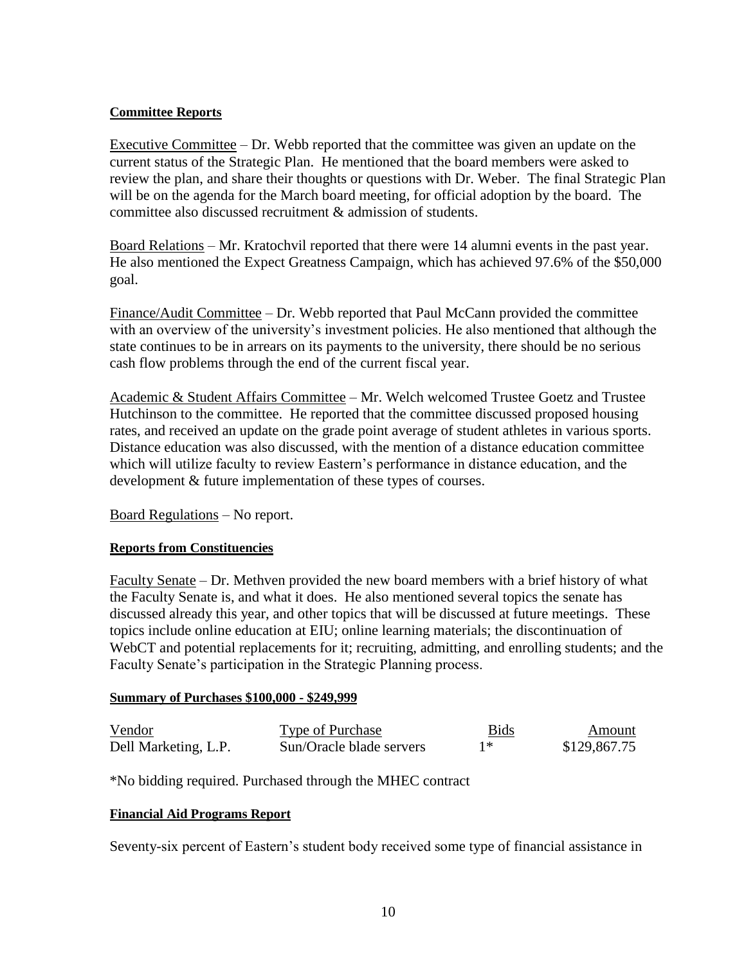## **Committee Reports**

Executive Committee – Dr. Webb reported that the committee was given an update on the current status of the Strategic Plan. He mentioned that the board members were asked to review the plan, and share their thoughts or questions with Dr. Weber. The final Strategic Plan will be on the agenda for the March board meeting, for official adoption by the board. The committee also discussed recruitment & admission of students.

Board Relations – Mr. Kratochvil reported that there were 14 alumni events in the past year. He also mentioned the Expect Greatness Campaign, which has achieved 97.6% of the \$50,000 goal.

Finance/Audit Committee – Dr. Webb reported that Paul McCann provided the committee with an overview of the university's investment policies. He also mentioned that although the state continues to be in arrears on its payments to the university, there should be no serious cash flow problems through the end of the current fiscal year.

Academic & Student Affairs Committee – Mr. Welch welcomed Trustee Goetz and Trustee Hutchinson to the committee. He reported that the committee discussed proposed housing rates, and received an update on the grade point average of student athletes in various sports. Distance education was also discussed, with the mention of a distance education committee which will utilize faculty to review Eastern's performance in distance education, and the development & future implementation of these types of courses.

Board Regulations – No report.

## **Reports from Constituencies**

Faculty Senate – Dr. Methven provided the new board members with a brief history of what the Faculty Senate is, and what it does. He also mentioned several topics the senate has discussed already this year, and other topics that will be discussed at future meetings. These topics include online education at EIU; online learning materials; the discontinuation of WebCT and potential replacements for it; recruiting, admitting, and enrolling students; and the Faculty Senate's participation in the Strategic Planning process.

## **Summary of Purchases \$100,000 - \$249,999**

| Vendor               | <b>Type of Purchase</b>  | <b>Bids</b> | Amount       |
|----------------------|--------------------------|-------------|--------------|
| Dell Marketing, L.P. | Sun/Oracle blade servers |             | \$129,867.75 |

\*No bidding required. Purchased through the MHEC contract

## **Financial Aid Programs Report**

Seventy-six percent of Eastern's student body received some type of financial assistance in